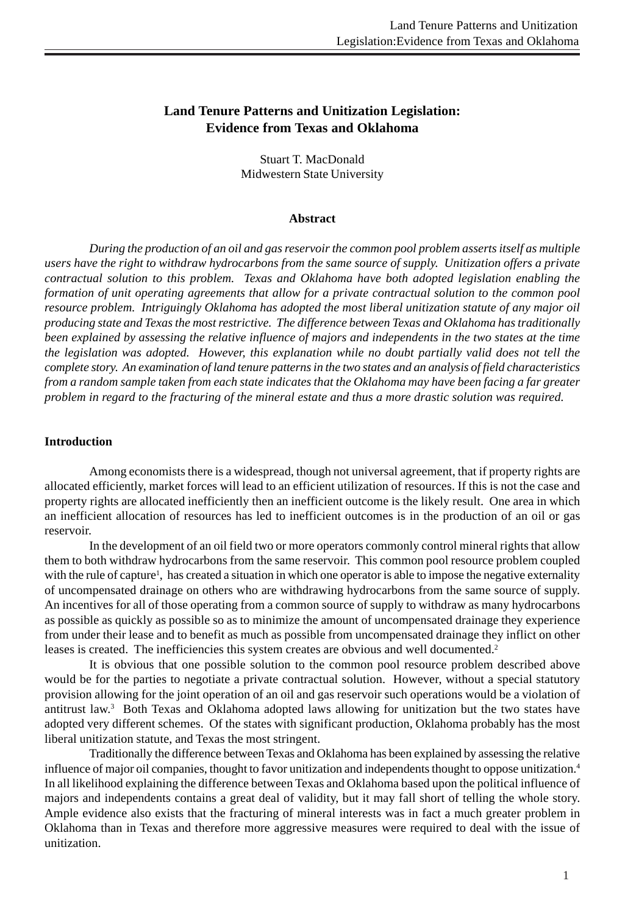# **Land Tenure Patterns and Unitization Legislation: Evidence from Texas and Oklahoma**

Stuart T. MacDonald Midwestern State University

#### **Abstract**

*During the production of an oil and gas reservoir the common pool problem asserts itself as multiple users have the right to withdraw hydrocarbons from the same source of supply. Unitization offers a private contractual solution to this problem. Texas and Oklahoma have both adopted legislation enabling the formation of unit operating agreements that allow for a private contractual solution to the common pool resource problem. Intriguingly Oklahoma has adopted the most liberal unitization statute of any major oil producing state and Texas the most restrictive. The difference between Texas and Oklahoma has traditionally been explained by assessing the relative influence of majors and independents in the two states at the time the legislation was adopted. However, this explanation while no doubt partially valid does not tell the complete story. An examination of land tenure patterns in the two states and an analysis of field characteristics from a random sample taken from each state indicates that the Oklahoma may have been facing a far greater problem in regard to the fracturing of the mineral estate and thus a more drastic solution was required.*

## **Introduction**

Among economists there is a widespread, though not universal agreement, that if property rights are allocated efficiently, market forces will lead to an efficient utilization of resources. If this is not the case and property rights are allocated inefficiently then an inefficient outcome is the likely result. One area in which an inefficient allocation of resources has led to inefficient outcomes is in the production of an oil or gas reservoir.

In the development of an oil field two or more operators commonly control mineral rights that allow them to both withdraw hydrocarbons from the same reservoir. This common pool resource problem coupled with the rule of capture<sup>1</sup>, has created a situation in which one operator is able to impose the negative externality of uncompensated drainage on others who are withdrawing hydrocarbons from the same source of supply. An incentives for all of those operating from a common source of supply to withdraw as many hydrocarbons as possible as quickly as possible so as to minimize the amount of uncompensated drainage they experience from under their lease and to benefit as much as possible from uncompensated drainage they inflict on other leases is created. The inefficiencies this system creates are obvious and well documented.<sup>2</sup>

It is obvious that one possible solution to the common pool resource problem described above would be for the parties to negotiate a private contractual solution. However, without a special statutory provision allowing for the joint operation of an oil and gas reservoir such operations would be a violation of antitrust law.<sup>3</sup> Both Texas and Oklahoma adopted laws allowing for unitization but the two states have adopted very different schemes. Of the states with significant production, Oklahoma probably has the most liberal unitization statute, and Texas the most stringent.

Traditionally the difference between Texas and Oklahoma has been explained by assessing the relative influence of major oil companies, thought to favor unitization and independents thought to oppose unitization.4 In all likelihood explaining the difference between Texas and Oklahoma based upon the political influence of majors and independents contains a great deal of validity, but it may fall short of telling the whole story. Ample evidence also exists that the fracturing of mineral interests was in fact a much greater problem in Oklahoma than in Texas and therefore more aggressive measures were required to deal with the issue of unitization.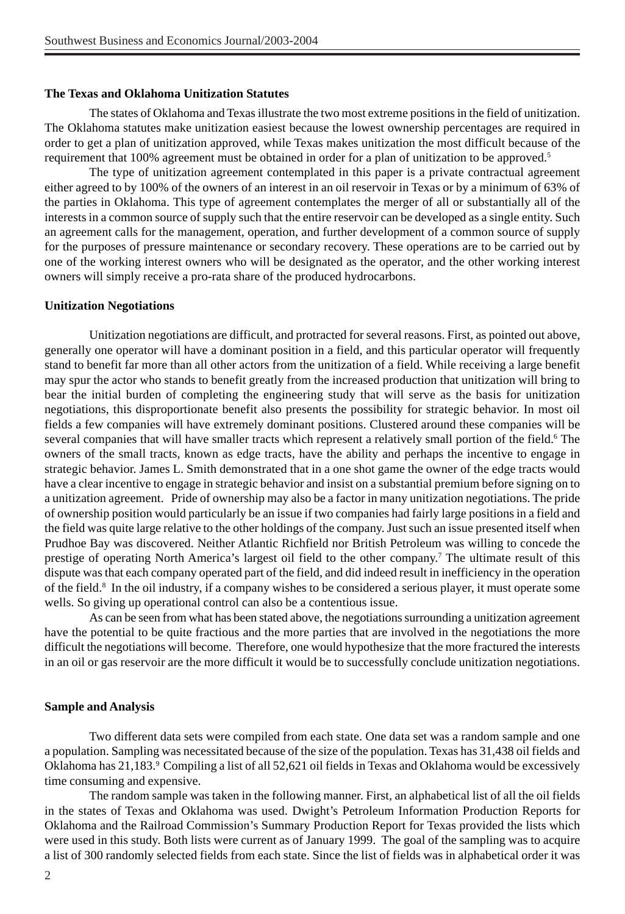### **The Texas and Oklahoma Unitization Statutes**

The states of Oklahoma and Texas illustrate the two most extreme positions in the field of unitization. The Oklahoma statutes make unitization easiest because the lowest ownership percentages are required in order to get a plan of unitization approved, while Texas makes unitization the most difficult because of the requirement that 100% agreement must be obtained in order for a plan of unitization to be approved.<sup>5</sup>

The type of unitization agreement contemplated in this paper is a private contractual agreement either agreed to by 100% of the owners of an interest in an oil reservoir in Texas or by a minimum of 63% of the parties in Oklahoma. This type of agreement contemplates the merger of all or substantially all of the interests in a common source of supply such that the entire reservoir can be developed as a single entity. Such an agreement calls for the management, operation, and further development of a common source of supply for the purposes of pressure maintenance or secondary recovery. These operations are to be carried out by one of the working interest owners who will be designated as the operator, and the other working interest owners will simply receive a pro-rata share of the produced hydrocarbons.

### **Unitization Negotiations**

Unitization negotiations are difficult, and protracted for several reasons. First, as pointed out above, generally one operator will have a dominant position in a field, and this particular operator will frequently stand to benefit far more than all other actors from the unitization of a field. While receiving a large benefit may spur the actor who stands to benefit greatly from the increased production that unitization will bring to bear the initial burden of completing the engineering study that will serve as the basis for unitization negotiations, this disproportionate benefit also presents the possibility for strategic behavior. In most oil fields a few companies will have extremely dominant positions. Clustered around these companies will be several companies that will have smaller tracts which represent a relatively small portion of the field.<sup>6</sup> The owners of the small tracts, known as edge tracts, have the ability and perhaps the incentive to engage in strategic behavior. James L. Smith demonstrated that in a one shot game the owner of the edge tracts would have a clear incentive to engage in strategic behavior and insist on a substantial premium before signing on to a unitization agreement. Pride of ownership may also be a factor in many unitization negotiations. The pride of ownership position would particularly be an issue if two companies had fairly large positions in a field and the field was quite large relative to the other holdings of the company. Just such an issue presented itself when Prudhoe Bay was discovered. Neither Atlantic Richfield nor British Petroleum was willing to concede the prestige of operating North America's largest oil field to the other company.7 The ultimate result of this dispute was that each company operated part of the field, and did indeed result in inefficiency in the operation of the field.<sup>8</sup> In the oil industry, if a company wishes to be considered a serious player, it must operate some wells. So giving up operational control can also be a contentious issue.

As can be seen from what has been stated above, the negotiations surrounding a unitization agreement have the potential to be quite fractious and the more parties that are involved in the negotiations the more difficult the negotiations will become. Therefore, one would hypothesize that the more fractured the interests in an oil or gas reservoir are the more difficult it would be to successfully conclude unitization negotiations.

#### **Sample and Analysis**

Two different data sets were compiled from each state. One data set was a random sample and one a population. Sampling was necessitated because of the size of the population. Texas has 31,438 oil fields and Oklahoma has 21,183.9 Compiling a list of all 52,621 oil fields in Texas and Oklahoma would be excessively time consuming and expensive.

The random sample was taken in the following manner. First, an alphabetical list of all the oil fields in the states of Texas and Oklahoma was used. Dwight's Petroleum Information Production Reports for Oklahoma and the Railroad Commission's Summary Production Report for Texas provided the lists which were used in this study. Both lists were current as of January 1999. The goal of the sampling was to acquire a list of 300 randomly selected fields from each state. Since the list of fields was in alphabetical order it was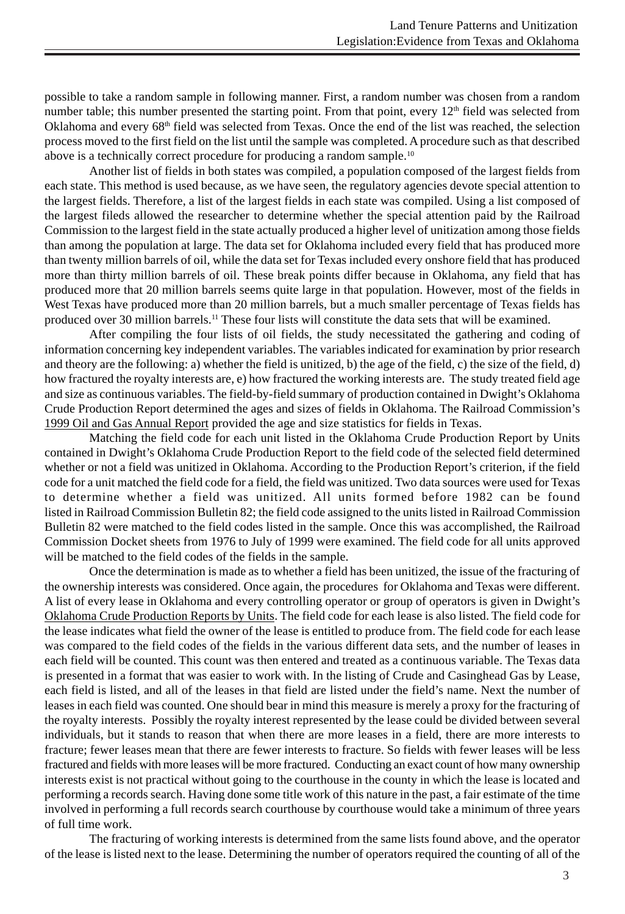possible to take a random sample in following manner. First, a random number was chosen from a random number table; this number presented the starting point. From that point, every  $12<sup>th</sup>$  field was selected from Oklahoma and every  $68<sup>th</sup>$  field was selected from Texas. Once the end of the list was reached, the selection process moved to the first field on the list until the sample was completed. A procedure such as that described above is a technically correct procedure for producing a random sample.<sup>10</sup>

Another list of fields in both states was compiled, a population composed of the largest fields from each state. This method is used because, as we have seen, the regulatory agencies devote special attention to the largest fields. Therefore, a list of the largest fields in each state was compiled. Using a list composed of the largest fileds allowed the researcher to determine whether the special attention paid by the Railroad Commission to the largest field in the state actually produced a higher level of unitization among those fields than among the population at large. The data set for Oklahoma included every field that has produced more than twenty million barrels of oil, while the data set for Texas included every onshore field that has produced more than thirty million barrels of oil. These break points differ because in Oklahoma, any field that has produced more that 20 million barrels seems quite large in that population. However, most of the fields in West Texas have produced more than 20 million barrels, but a much smaller percentage of Texas fields has produced over 30 million barrels.<sup>11</sup> These four lists will constitute the data sets that will be examined.

After compiling the four lists of oil fields, the study necessitated the gathering and coding of information concerning key independent variables. The variables indicated for examination by prior research and theory are the following: a) whether the field is unitized, b) the age of the field, c) the size of the field, d) how fractured the royalty interests are, e) how fractured the working interests are. The study treated field age and size as continuous variables. The field-by-field summary of production contained in Dwight's Oklahoma Crude Production Report determined the ages and sizes of fields in Oklahoma. The Railroad Commission's 1999 Oil and Gas Annual Report provided the age and size statistics for fields in Texas.

Matching the field code for each unit listed in the Oklahoma Crude Production Report by Units contained in Dwight's Oklahoma Crude Production Report to the field code of the selected field determined whether or not a field was unitized in Oklahoma. According to the Production Report's criterion, if the field code for a unit matched the field code for a field, the field was unitized. Two data sources were used for Texas to determine whether a field was unitized. All units formed before 1982 can be found listed in Railroad Commission Bulletin 82; the field code assigned to the units listed in Railroad Commission Bulletin 82 were matched to the field codes listed in the sample. Once this was accomplished, the Railroad Commission Docket sheets from 1976 to July of 1999 were examined. The field code for all units approved will be matched to the field codes of the fields in the sample.

Once the determination is made as to whether a field has been unitized, the issue of the fracturing of the ownership interests was considered. Once again, the procedures for Oklahoma and Texas were different. A list of every lease in Oklahoma and every controlling operator or group of operators is given in Dwight's Oklahoma Crude Production Reports by Units. The field code for each lease is also listed. The field code for the lease indicates what field the owner of the lease is entitled to produce from. The field code for each lease was compared to the field codes of the fields in the various different data sets, and the number of leases in each field will be counted. This count was then entered and treated as a continuous variable. The Texas data is presented in a format that was easier to work with. In the listing of Crude and Casinghead Gas by Lease, each field is listed, and all of the leases in that field are listed under the field's name. Next the number of leases in each field was counted. One should bear in mind this measure is merely a proxy for the fracturing of the royalty interests. Possibly the royalty interest represented by the lease could be divided between several individuals, but it stands to reason that when there are more leases in a field, there are more interests to fracture; fewer leases mean that there are fewer interests to fracture. So fields with fewer leases will be less fractured and fields with more leases will be more fractured. Conducting an exact count of how many ownership interests exist is not practical without going to the courthouse in the county in which the lease is located and performing a records search. Having done some title work of this nature in the past, a fair estimate of the time involved in performing a full records search courthouse by courthouse would take a minimum of three years of full time work.

The fracturing of working interests is determined from the same lists found above, and the operator of the lease is listed next to the lease. Determining the number of operators required the counting of all of the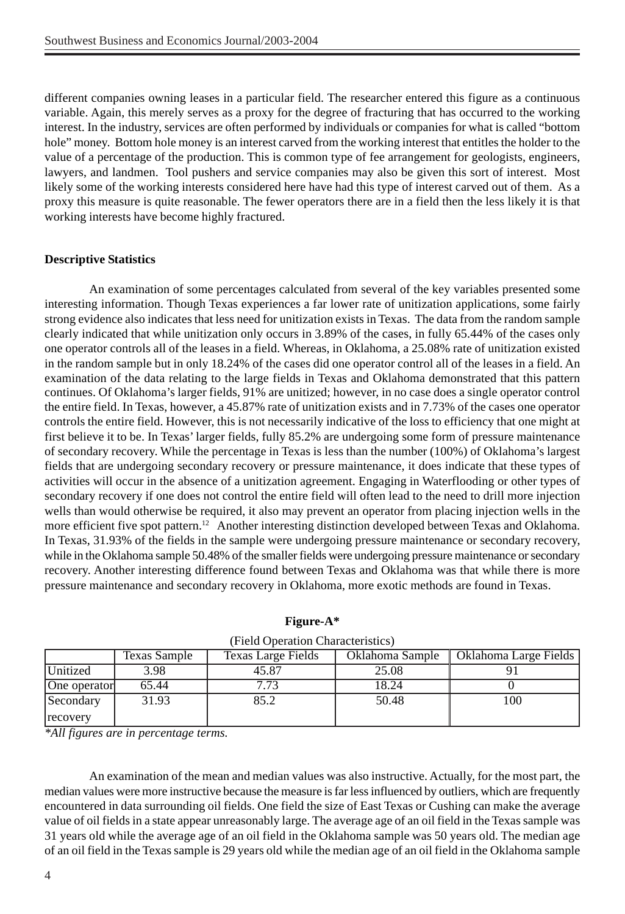different companies owning leases in a particular field. The researcher entered this figure as a continuous variable. Again, this merely serves as a proxy for the degree of fracturing that has occurred to the working interest. In the industry, services are often performed by individuals or companies for what is called "bottom hole" money. Bottom hole money is an interest carved from the working interest that entitles the holder to the value of a percentage of the production. This is common type of fee arrangement for geologists, engineers, lawyers, and landmen. Tool pushers and service companies may also be given this sort of interest. Most likely some of the working interests considered here have had this type of interest carved out of them. As a proxy this measure is quite reasonable. The fewer operators there are in a field then the less likely it is that working interests have become highly fractured.

## **Descriptive Statistics**

continues. Of Oklahoma's larger fields, 91% are unitized; however, in no case does a single operator control the entire field. In Texas, however, a 45.87% rate of unitization exists and in 7.73% of the cases one operator controls the entire field. However, this is not necessarily indicative of the loss to efficiency that one might at first believe it to be. In Texas' larger fields, fully 85.2% are undergoing some form of pressure maintenance of secondary recovery. While the percentage in Texas is less than the number (100%) of Oklahoma's largest fields that are undergoing secondary recovery or pressure maintenance, it does indicate that these types of activities will occur in the absence of a unitization agreement. Engaging in Waterflooding or other types of secondary recovery if one does not control the entire field will often lead to the need to drill more injection wells than would otherwise be required, it also may prevent an operator from placing injection wells in the more efficient five spot pattern.<sup>12</sup> Another interesting distinction developed between Texas and Oklahoma. In Texas, 31.93% of the fields in the sample were undergoing pressure maintenance or secondary recovery, while in the Oklahoma sample 50.48% of the smaller fields were undergoing pressure maintenance or secondary recovery. Another interesting difference found between Texas and Oklahoma was that while there is more pressure maintenance and secondary recovery in Oklahoma, more exotic methods are found in Texas. An examination of some percentages calculated from several of the key variables presented some interesting information. Though Texas experiences a far lower rate of unitization applications, some fairly strong evidence also indicates that less need for unitization exists in Texas. The data from the random sample clearly indicated that while unitization only occurs in 3.89% of the cases, in fully 65.44% of the cases only one operator controls all of the leases in a field. Whereas, in Oklahoma, a 25.08% rate of unitization existed in the random sample but in only 18.24% of the cases did one operator control all of the leases in a field. An examination of the data relating to the large fields in Texas and Oklahoma demonstrated that this pattern

| $\alpha$ iciu Operation Characteristics |              |                    |                 |                       |  |  |
|-----------------------------------------|--------------|--------------------|-----------------|-----------------------|--|--|
|                                         | Texas Sample | Texas Large Fields | Oklahoma Sample | Oklahoma Large Fields |  |  |
| <b>Unitized</b>                         | 3.98         | 45.87              | 25.08           |                       |  |  |
| One operator                            | 65.44        |                    | 18.24           |                       |  |  |
| Secondary                               | 31.93        | 85.2               | 50.48           | 100                   |  |  |
| recovery                                |              |                    |                 |                       |  |  |

**Figure-A\***

(Field Operation Characteristics)

*\*All figures are in percentage terms.*

An examination of the mean and median values was also instructive. Actually, for the most part, the median values were more instructive because the measure is far less influenced by outliers, which are frequently encountered in data surrounding oil fields. One field the size of East Texas or Cushing can make the average value of oil fields in a state appear unreasonably large. The average age of an oil field in the Texas sample was 31 years old while the average age of an oil field in the Oklahoma sample was 50 years old. The median age of an oil field in the Texas sample is 29 years old while the median age of an oil field in the Oklahoma sample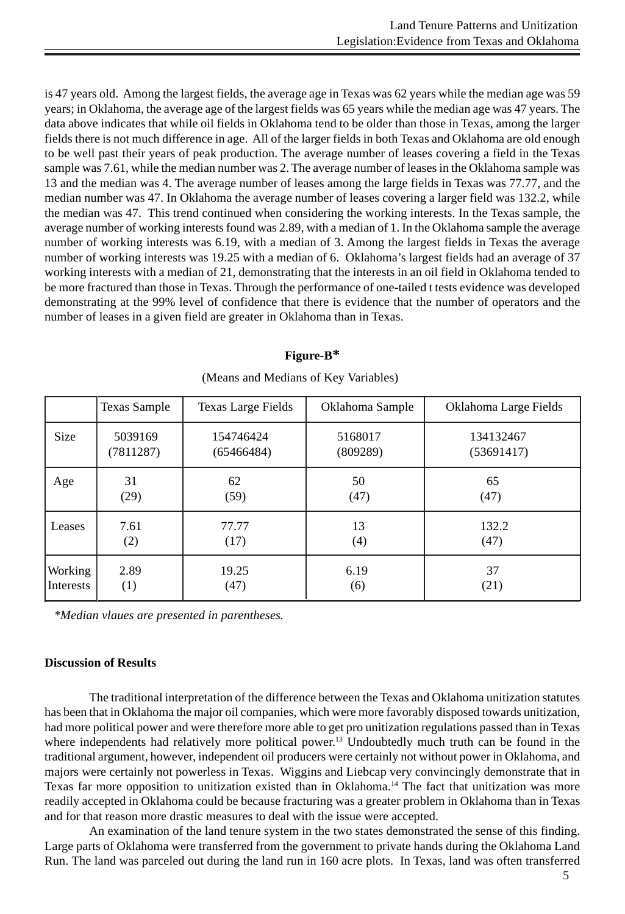is 47 years old. Among the largest fields, the average age in Texas was 62 years while the median age was 59 years; in Oklahoma, the average age of the largest fields was 65 years while the median age was 47 years. The data above indicates that while oil fields in Oklahoma tend to be older than those in Texas, among the larger fields there is not much difference in age. All of the larger fields in both Texas and Oklahoma are old enough to be well past their years of peak production. The average number of leases covering a field in the Texas sample was 7.61, while the median number was 2. The average number of leases in the Oklahoma sample was 13 and the median was 4. The average number of leases among the large fields in Texas was 77.77, and the median number was 47. In Oklahoma the average number of leases covering a larger field was 132.2, while the median was 47. This trend continued when considering the working interests. In the Texas sample, the average number of working interests found was 2.89, with a median of 1. In the Oklahoma sample the average number of working interests was 6.19, with a median of 3. Among the largest fields in Texas the average number of working interests was 19.25 with a median of 6. Oklahoma's largest fields had an average of 37 working interests with a median of 21, demonstrating that the interests in an oil field in Oklahoma tended to be more fractured than those in Texas. Through the performance of one-tailed t tests evidence was developed demonstrating at the 99% level of confidence that there is evidence that the number of operators and the number of leases in a given field are greater in Oklahoma than in Texas.

## **Figure-B\***

|           | <b>Texas Sample</b> | Texas Large Fields | Oklahoma Sample | Oklahoma Large Fields |
|-----------|---------------------|--------------------|-----------------|-----------------------|
| Size      | 5039169             | 154746424          | 5168017         | 134132467             |
|           | (7811287)           | (65466484)         | (809289)        | (53691417)            |
| Age       | 31                  | 62                 | 50              | 65                    |
|           | (29)                | (59)               | (47)            | (47)                  |
| Leases    | 7.61                | 77.77              | 13              | 132.2                 |
|           | (2)                 | (17)               | (4)             | (47)                  |
| Working   | 2.89                | 19.25              | 6.19            | 37                    |
| Interests | (1)                 | (47)               | (6)             | (21)                  |

(Means and Medians of Key Variables)

 *\*Median vlaues are presented in parentheses.*

## **Discussion of Results**

The traditional interpretation of the difference between the Texas and Oklahoma unitization statutes has been that in Oklahoma the major oil companies, which were more favorably disposed towards unitization, had more political power and were therefore more able to get pro unitization regulations passed than in Texas where independents had relatively more political power.<sup>13</sup> Undoubtedly much truth can be found in the traditional argument, however, independent oil producers were certainly not without power in Oklahoma, and majors were certainly not powerless in Texas. Wiggins and Liebcap very convincingly demonstrate that in Texas far more opposition to unitization existed than in Oklahoma.14 The fact that unitization was more readily accepted in Oklahoma could be because fracturing was a greater problem in Oklahoma than in Texas and for that reason more drastic measures to deal with the issue were accepted.

An examination of the land tenure system in the two states demonstrated the sense of this finding. Large parts of Oklahoma were transferred from the government to private hands during the Oklahoma Land Run. The land was parceled out during the land run in 160 acre plots. In Texas, land was often transferred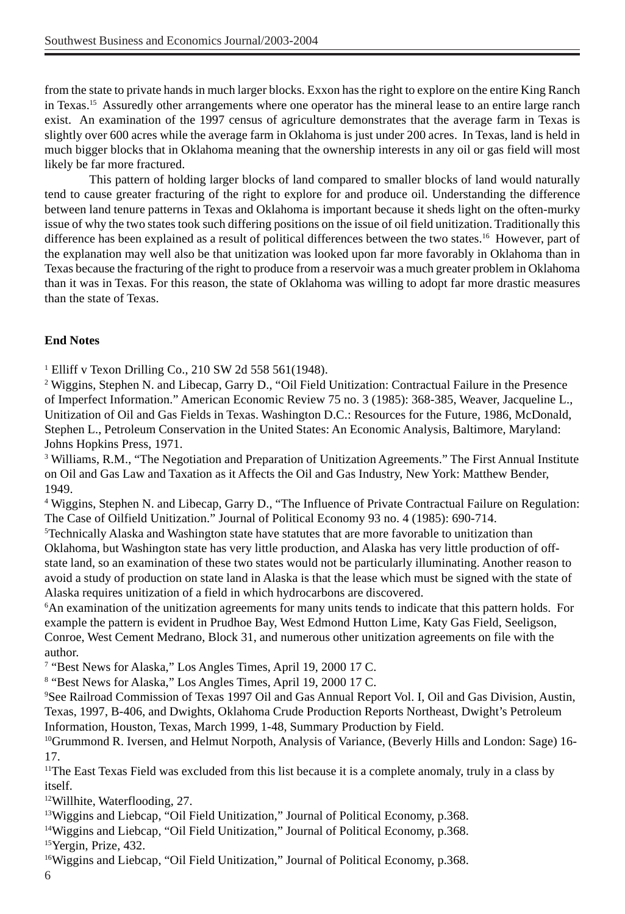from the state to private hands in much larger blocks. Exxon has the right to explore on the entire King Ranch in Texas.<sup>15</sup> Assuredly other arrangements where one operator has the mineral lease to an entire large ranch exist. An examination of the 1997 census of agriculture demonstrates that the average farm in Texas is slightly over 600 acres while the average farm in Oklahoma is just under 200 acres. In Texas, land is held in much bigger blocks that in Oklahoma meaning that the ownership interests in any oil or gas field will most likely be far more fractured.

This pattern of holding larger blocks of land compared to smaller blocks of land would naturally tend to cause greater fracturing of the right to explore for and produce oil. Understanding the difference between land tenure patterns in Texas and Oklahoma is important because it sheds light on the often-murky issue of why the two states took such differing positions on the issue of oil field unitization. Traditionally this difference has been explained as a result of political differences between the two states.16 However, part of the explanation may well also be that unitization was looked upon far more favorably in Oklahoma than in Texas because the fracturing of the right to produce from a reservoir was a much greater problem in Oklahoma than it was in Texas. For this reason, the state of Oklahoma was willing to adopt far more drastic measures than the state of Texas.

# **End Notes**

<sup>1</sup> Elliff v Texon Drilling Co., 210 SW 2d 558 561(1948).

<sup>2</sup> Wiggins, Stephen N. and Libecap, Garry D., "Oil Field Unitization: Contractual Failure in the Presence of Imperfect Information." American Economic Review 75 no. 3 (1985): 368-385, Weaver, Jacqueline L., Unitization of Oil and Gas Fields in Texas. Washington D.C.: Resources for the Future, 1986, McDonald, Stephen L., Petroleum Conservation in the United States: An Economic Analysis, Baltimore, Maryland: Johns Hopkins Press, 1971.

<sup>3</sup> Williams, R.M., "The Negotiation and Preparation of Unitization Agreements." The First Annual Institute on Oil and Gas Law and Taxation as it Affects the Oil and Gas Industry, New York: Matthew Bender, 1949.

4 Wiggins, Stephen N. and Libecap, Garry D., "The Influence of Private Contractual Failure on Regulation: The Case of Oilfield Unitization." Journal of Political Economy 93 no. 4 (1985): 690-714.

5 Technically Alaska and Washington state have statutes that are more favorable to unitization than Oklahoma, but Washington state has very little production, and Alaska has very little production of offstate land, so an examination of these two states would not be particularly illuminating. Another reason to avoid a study of production on state land in Alaska is that the lease which must be signed with the state of Alaska requires unitization of a field in which hydrocarbons are discovered.

6 An examination of the unitization agreements for many units tends to indicate that this pattern holds. For example the pattern is evident in Prudhoe Bay, West Edmond Hutton Lime, Katy Gas Field, Seeligson, Conroe, West Cement Medrano, Block 31, and numerous other unitization agreements on file with the author.

7 "Best News for Alaska," Los Angles Times, April 19, 2000 17 C.

8 "Best News for Alaska," Los Angles Times, April 19, 2000 17 C.

9 See Railroad Commission of Texas 1997 Oil and Gas Annual Report Vol. I, Oil and Gas Division, Austin, Texas, 1997, B-406, and Dwights, Oklahoma Crude Production Reports Northeast, Dwight's Petroleum Information, Houston, Texas, March 1999, 1-48, Summary Production by Field.

<sup>10</sup>Grummond R. Iversen, and Helmut Norpoth, Analysis of Variance, (Beverly Hills and London: Sage) 16-17.

<sup>11</sup>The East Texas Field was excluded from this list because it is a complete anomaly, truly in a class by itself.

12Willhite, Waterflooding, 27.

13Wiggins and Liebcap, "Oil Field Unitization," Journal of Political Economy, p.368.

<sup>14</sup>Wiggins and Liebcap, "Oil Field Unitization," Journal of Political Economy, p.368. <sup>15</sup>Yergin, Prize, 432.

16Wiggins and Liebcap, "Oil Field Unitization," Journal of Political Economy, p.368.

6